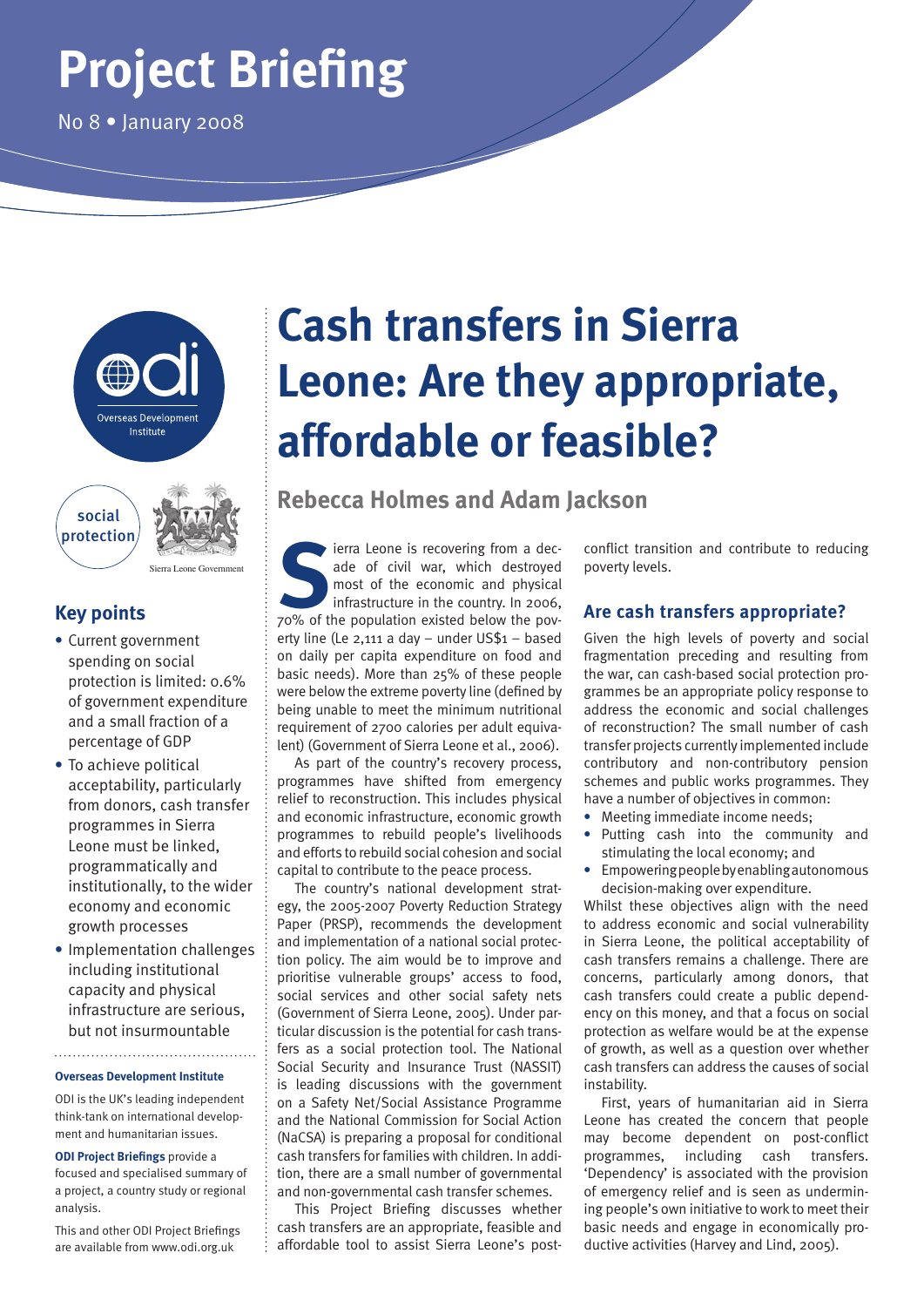# **Project Briefing**

No 8 • January 2008



## **Key points**

**•** Current government spending on social protection is limited: 0.6% of government expenditure and a small fraction of a percentage of GDP

Sierra Leone Government

- **•** To achieve political acceptability, particularly from donors, cash transfer programmes in Sierra Leone must be linked, programmatically and institutionally, to the wider economy and economic growth processes
- **•** Implementation challenges including institutional capacity and physical infrastructure are serious, but not insurmountable

#### **Overseas Development Institute**

ODI is the UK's leading independent think-tank on international development and humanitarian issues.

**ODI Project Briefings** provide a focused and specialised summary of a project, a country study or regional analysis.

This and other ODI Project Briefings are available from www.odi.org.uk

## **Cash transfers in Sierra Leone: Are they appropriate, affordable or feasible?**

**Rebecca Holmes and Adam Jackson**

**Sierra Leone is recovering from a decade of civil war, which destroyed most of the economic and physical infrastructure in the country. In 2006, 70% of the population existed below the pov**ade of civil war, which destroyed most of the economic and physical infrastructure in the country. In 2006, erty line (Le 2,111 a day – under US\$1 – based on daily per capita expenditure on food and basic needs). More than 25% of these people were below the extreme poverty line (defined by being unable to meet the minimum nutritional requirement of 2700 calories per adult equivalent) (Government of Sierra Leone et al., 2006).

As part of the country's recovery process, programmes have shifted from emergency relief to reconstruction. This includes physical and economic infrastructure, economic growth programmes to rebuild people's livelihoods and efforts to rebuild social cohesion and social capital to contribute to the peace process.

The country's national development strategy, the 2005-2007 Poverty Reduction Strategy Paper (PRSP), recommends the development and implementation of a national social protection policy. The aim would be to improve and prioritise vulnerable groups' access to food, social services and other social safety nets (Government of Sierra Leone, 2005). Under particular discussion is the potential for cash transfers as a social protection tool. The National Social Security and Insurance Trust (NASSIT) is leading discussions with the government on a Safety Net/Social Assistance Programme and the National Commission for Social Action (NaCSA) is preparing a proposal for conditional cash transfers for families with children. In addition, there are a small number of governmental and non-governmental cash transfer schemes.

This Project Briefing discusses whether cash transfers are an appropriate, feasible and affordable tool to assist Sierra Leone's post-

conflict transition and contribute to reducing poverty levels.

## **Are cash transfers appropriate?**

Given the high levels of poverty and social fragmentation preceding and resulting from the war, can cash-based social protection programmes be an appropriate policy response to address the economic and social challenges of reconstruction? The small number of cash transfer projects currently implemented include contributory and non-contributory pension schemes and public works programmes. They have a number of objectives in common:

- **•** Meeting immediate income needs;
- **•** Putting cash into the community and stimulating the local economy; and
- **•** Empowering people by enabling autonomous decision-making over expenditure.

Whilst these objectives align with the need to address economic and social vulnerability in Sierra Leone, the political acceptability of cash transfers remains a challenge. There are concerns, particularly among donors, that cash transfers could create a public dependency on this money, and that a focus on social protection as welfare would be at the expense of growth, as well as a question over whether cash transfers can address the causes of social instability.

First, years of humanitarian aid in Sierra Leone has created the concern that people may become dependent on post-conflict programmes, including cash transfers. 'Dependency' is associated with the provision of emergency relief and is seen as undermining people's own initiative to work to meet their basic needs and engage in economically productive activities (Harvey and Lind, 2005).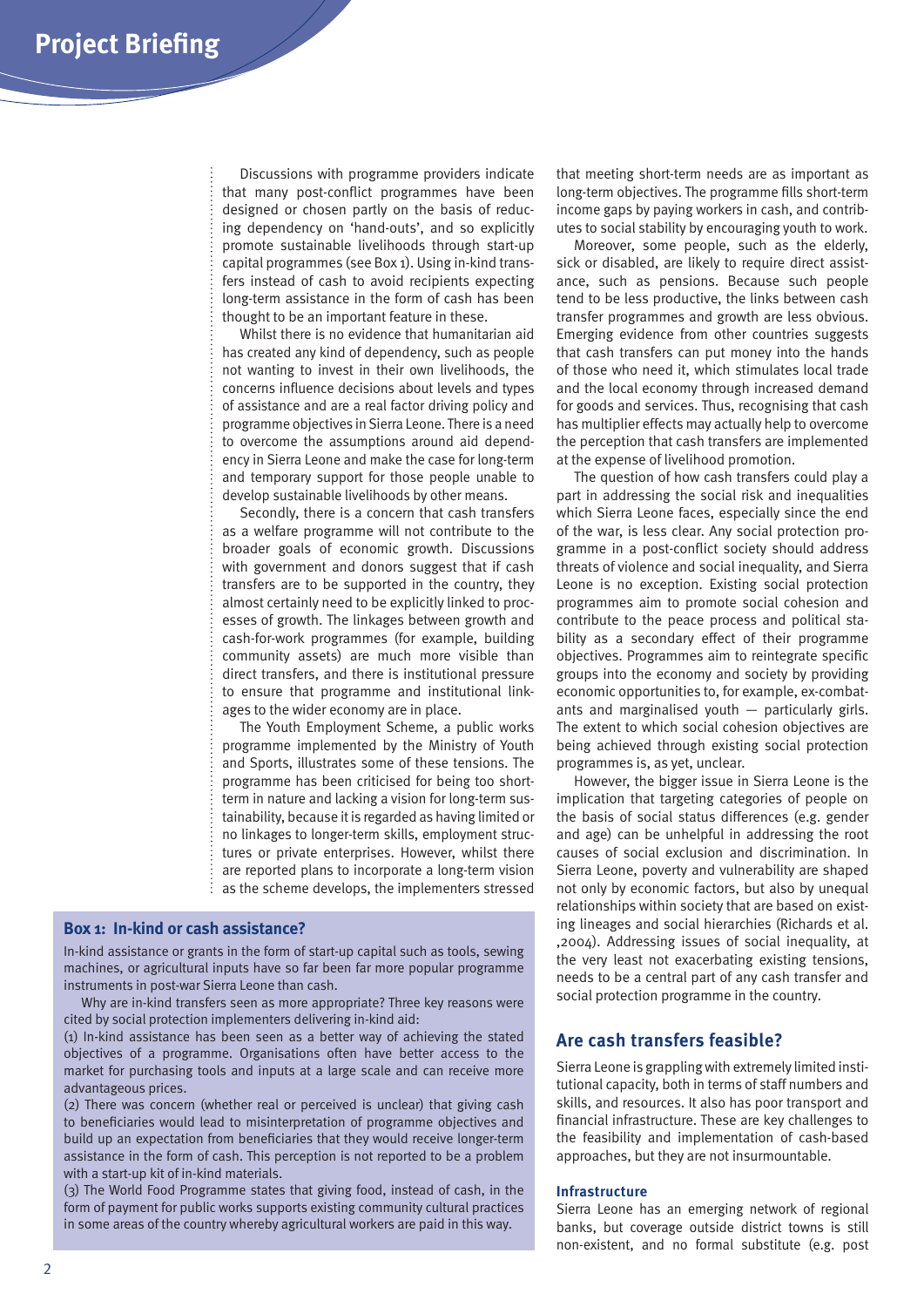Discussions with programme providers indicate that many post-conflict programmes have been designed or chosen partly on the basis of reducing dependency on 'hand-outs', and so explicitly promote sustainable livelihoods through start-up capital programmes (see Box 1). Using in-kind transfers instead of cash to avoid recipients expecting long-term assistance in the form of cash has been thought to be an important feature in these.

Whilst there is no evidence that humanitarian aid has created any kind of dependency, such as people not wanting to invest in their own livelihoods, the concerns influence decisions about levels and types of assistance and are a real factor driving policy and programme objectives in Sierra Leone. There is a need to overcome the assumptions around aid dependency in Sierra Leone and make the case for long-term and temporary support for those people unable to develop sustainable livelihoods by other means.

Secondly, there is a concern that cash transfers as a welfare programme will not contribute to the broader goals of economic growth. Discussions with government and donors suggest that if cash transfers are to be supported in the country, they almost certainly need to be explicitly linked to processes of growth. The linkages between growth and cash-for-work programmes (for example, building community assets) are much more visible than direct transfers, and there is institutional pressure to ensure that programme and institutional linkages to the wider economy are in place.

The Youth Employment Scheme, a public works programme implemented by the Ministry of Youth and Sports, illustrates some of these tensions. The programme has been criticised for being too shortterm in nature and lacking a vision for long-term sustainability, because it is regarded as having limited or no linkages to longer-term skills, employment structures or private enterprises. However, whilst there are reported plans to incorporate a long-term vision as the scheme develops, the implementers stressed

### **Box 1: In-kind or cash assistance?**

In-kind assistance or grants in the form of start-up capital such as tools, sewing machines, or agricultural inputs have so far been far more popular programme instruments in post-war Sierra Leone than cash.

Why are in-kind transfers seen as more appropriate? Three key reasons were cited by social protection implementers delivering in-kind aid:

(1) In-kind assistance has been seen as a better way of achieving the stated objectives of a programme. Organisations often have better access to the market for purchasing tools and inputs at a large scale and can receive more advantageous prices.

(2) There was concern (whether real or perceived is unclear) that giving cash to beneficiaries would lead to misinterpretation of programme objectives and build up an expectation from beneficiaries that they would receive longer-term assistance in the form of cash. This perception is not reported to be a problem with a start-up kit of in-kind materials.

(3) The World Food Programme states that giving food, instead of cash, in the form of payment for public works supports existing community cultural practices in some areas of the country whereby agricultural workers are paid in this way.

that meeting short-term needs are as important as long-term objectives. The programme fills short-term income gaps by paying workers in cash, and contributes to social stability by encouraging youth to work.

Moreover, some people, such as the elderly, sick or disabled, are likely to require direct assistance, such as pensions. Because such people tend to be less productive, the links between cash transfer programmes and growth are less obvious. Emerging evidence from other countries suggests that cash transfers can put money into the hands of those who need it, which stimulates local trade and the local economy through increased demand for goods and services. Thus, recognising that cash has multiplier effects may actually help to overcome the perception that cash transfers are implemented at the expense of livelihood promotion.

The question of how cash transfers could play a part in addressing the social risk and inequalities which Sierra Leone faces, especially since the end of the war, is less clear. Any social protection programme in a post-conflict society should address threats of violence and social inequality, and Sierra Leone is no exception. Existing social protection programmes aim to promote social cohesion and contribute to the peace process and political stability as a secondary effect of their programme objectives. Programmes aim to reintegrate specific groups into the economy and society by providing economic opportunities to, for example, ex-combatants and marginalised youth — particularly girls. The extent to which social cohesion objectives are being achieved through existing social protection programmes is, as yet, unclear.

However, the bigger issue in Sierra Leone is the implication that targeting categories of people on the basis of social status differences (e.g. gender and age) can be unhelpful in addressing the root causes of social exclusion and discrimination. In Sierra Leone, poverty and vulnerability are shaped not only by economic factors, but also by unequal relationships within society that are based on existing lineages and social hierarchies (Richards et al. ,2004). Addressing issues of social inequality, at the very least not exacerbating existing tensions, needs to be a central part of any cash transfer and social protection programme in the country.

## **Are cash transfers feasible?**

Sierra Leone is grappling with extremely limited institutional capacity, both in terms of staff numbers and skills, and resources. It also has poor transport and financial infrastructure. These are key challenges to the feasibility and implementation of cash-based approaches, but they are not insurmountable.

#### **Infrastructure**

Sierra Leone has an emerging network of regional banks, but coverage outside district towns is still non-existent, and no formal substitute (e.g. post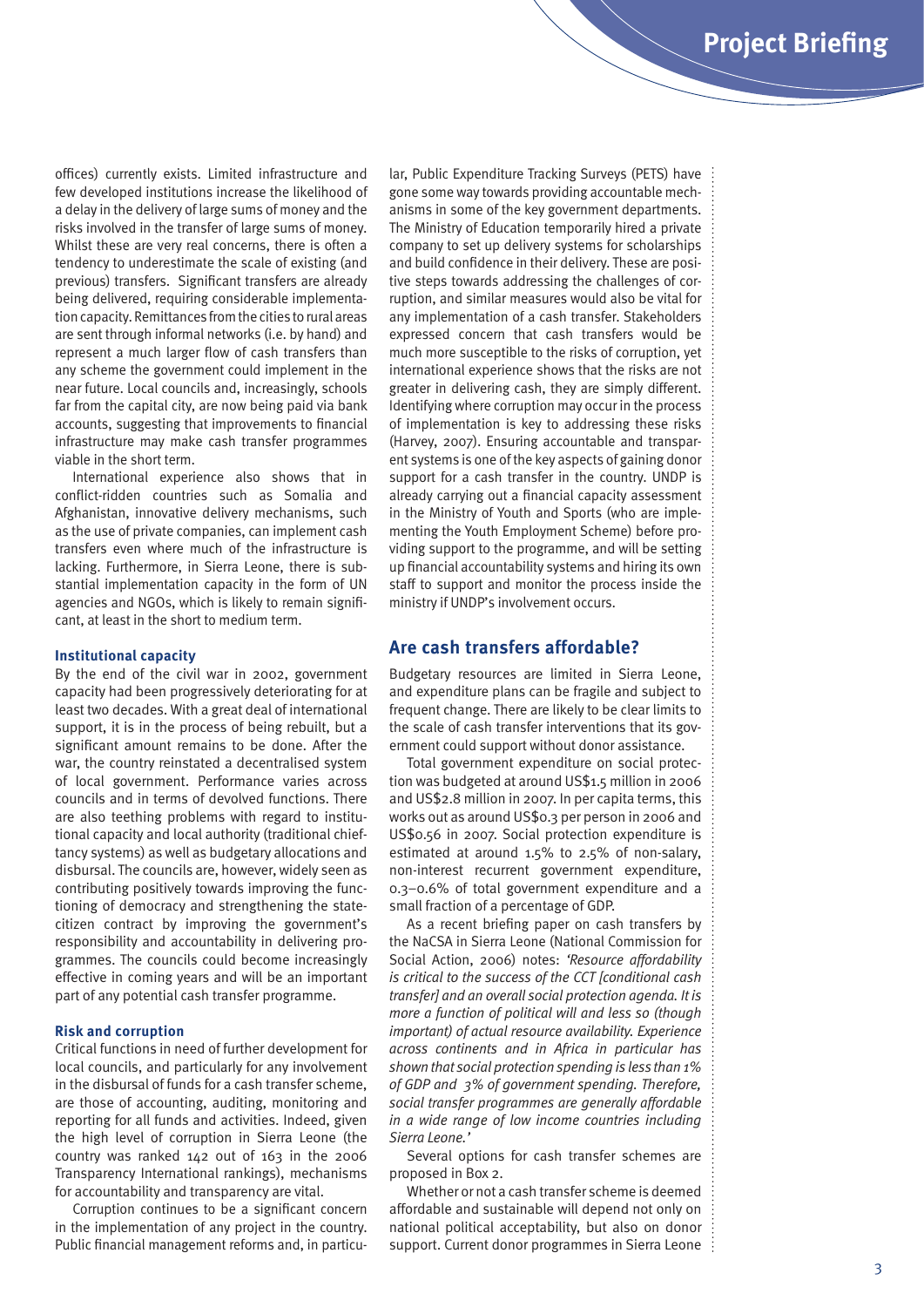offices) currently exists. Limited infrastructure and few developed institutions increase the likelihood of a delay in the delivery of large sums of money and the risks involved in the transfer of large sums of money. Whilst these are very real concerns, there is often a tendency to underestimate the scale of existing (and previous) transfers. Significant transfers are already being delivered, requiring considerable implementation capacity. Remittances from the cities to rural areas are sent through informal networks (i.e. by hand) and represent a much larger flow of cash transfers than any scheme the government could implement in the near future. Local councils and, increasingly, schools far from the capital city, are now being paid via bank accounts, suggesting that improvements to financial infrastructure may make cash transfer programmes viable in the short term.

International experience also shows that in conflict-ridden countries such as Somalia and Afghanistan, innovative delivery mechanisms, such as the use of private companies, can implement cash transfers even where much of the infrastructure is lacking. Furthermore, in Sierra Leone, there is substantial implementation capacity in the form of UN agencies and NGOs, which is likely to remain significant, at least in the short to medium term.

#### **Institutional capacity**

By the end of the civil war in 2002, government capacity had been progressively deteriorating for at least two decades. With a great deal of international support, it is in the process of being rebuilt, but a significant amount remains to be done. After the war, the country reinstated a decentralised system of local government. Performance varies across councils and in terms of devolved functions. There are also teething problems with regard to institutional capacity and local authority (traditional chieftancy systems) as well as budgetary allocations and disbursal. The councils are, however, widely seen as contributing positively towards improving the functioning of democracy and strengthening the statecitizen contract by improving the government's responsibility and accountability in delivering programmes. The councils could become increasingly effective in coming years and will be an important part of any potential cash transfer programme.

#### **Risk and corruption**

Critical functions in need of further development for local councils, and particularly for any involvement in the disbursal of funds for a cash transfer scheme, are those of accounting, auditing, monitoring and reporting for all funds and activities. Indeed, given the high level of corruption in Sierra Leone (the country was ranked 142 out of 163 in the 2006 Transparency International rankings), mechanisms for accountability and transparency are vital.

Corruption continues to be a significant concern in the implementation of any project in the country. Public financial management reforms and, in particular, Public Expenditure Tracking Surveys (PETS) have gone some way towards providing accountable mechanisms in some of the key government departments. The Ministry of Education temporarily hired a private company to set up delivery systems for scholarships and build confidence in their delivery. These are positive steps towards addressing the challenges of corruption, and similar measures would also be vital for any implementation of a cash transfer. Stakeholders expressed concern that cash transfers would be much more susceptible to the risks of corruption, yet international experience shows that the risks are not greater in delivering cash, they are simply different. Identifying where corruption may occur in the process of implementation is key to addressing these risks (Harvey, 2007). Ensuring accountable and transparent systems is one of the key aspects of gaining donor support for a cash transfer in the country. UNDP is already carrying out a financial capacity assessment in the Ministry of Youth and Sports (who are implementing the Youth Employment Scheme) before providing support to the programme, and will be setting up financial accountability systems and hiring its own staff to support and monitor the process inside the ministry if UNDP's involvement occurs.

## **Are cash transfers affordable?**

Budgetary resources are limited in Sierra Leone, and expenditure plans can be fragile and subject to frequent change. There are likely to be clear limits to the scale of cash transfer interventions that its government could support without donor assistance.

Total government expenditure on social protection was budgeted at around US\$1.5 million in 2006 and US\$2.8 million in 2007. In per capita terms, this works out as around US\$0.3 per person in 2006 and US\$0.56 in 2007. Social protection expenditure is estimated at around 1.5% to 2.5% of non-salary, non-interest recurrent government expenditure, 0.3–0.6% of total government expenditure and a small fraction of a percentage of GDP.

As a recent briefing paper on cash transfers by the NaCSA in Sierra Leone (National Commission for Social Action, 2006) notes: *'Resource affordability is critical to the success of the CCT [conditional cash transfer] and an overall social protection agenda. It is more a function of political will and less so (though important) of actual resource availability. Experience across continents and in Africa in particular has shown that social protection spending is less than 1% of GDP and 3% of government spending. Therefore, social transfer programmes are generally affordable in a wide range of low income countries including Sierra Leone.'*

Several options for cash transfer schemes are proposed in Box 2.

Whether or not a cash transfer scheme is deemed affordable and sustainable will depend not only on national political acceptability, but also on donor support. Current donor programmes in Sierra Leone